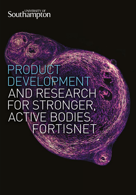# **Southampton**

# **PRODUCT**  DEVELOPMENT AND RESEARCH FOR STRONGER, ACTIVE BODIES. FORTISNET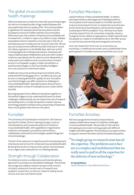# The global musculoskeletal health challenge

Welcome advances in medicine mean that we are living longer, but with an increased burden of age-related diseases and associated reductions in quality of life. The clinical problem is significant; for example, bone fractures alone cost the European economy €17 billion and the US economy \$20 billion each year; the numbers of hip fractures worldwide will increase from 1.7 million in 1990 to 6.3 million in 2050. Diabetic amputations have increased to 7,000 per year in the UK, an estimated 40,000 in India and over 70,000 in the USA. Almost 300 service personnel suffered traumatic limb loss in recent UK military operations in the Middle East, with over a third involving significant multiple amputations. Amputees will require sophisticated rehabilitation and, even with modern medicine, specialised care for years to come. Meanwhile, in many lower and middle income countries there is limited access to orthopaedic surgery, modern prosthetics or assistive technologies, so we must develop intelligent low-cost solutions to meet those needs.

Healthcare resources are becoming more limited, with a predicted NHS funding gap of £10 - 30 billion by 2020, yet an ever increasing demand for quality of care. Innovative use of technologies can offer solutions to challenges in musculoskeletal health. Typically however, the journey to implementation is slow, for example around 17 years within the NHS.

By bringing experts from different disciplines together at the earliest stages to truly understand and work on these challenges collaboratively, we can reduce the cost of research and development, increase the speed to market, improve technology adoption and become a unique body of expertise that is much greater than the sum of its parts.

# **FortisNet**

The University of Southampton Institute for Life Sciences launched FortisNet ('fortis' meaning strong) in 2016: an interdisciplinary and vocational network to transform musculoskeletal health, with capabilities in regenerative medicine, orthopaedics, prosthetics and orthotics, rehabilitation and assistive technologies, epidemiology and clinical trial design.

The aim of the network is to lead the world in the development of products and services for enhanced musculoskeletal health. By doing this we aim to improve lives, attract new businesses to our region and create jobs for our skilled graduates.

# Strength through Collaboration

FortisNet promotes a collaborative and interdisciplinary approach to solving musculoskeletal challenges. We actively encourage and catalyse research projects that connect clinicians, enterprise, the end-users of research and academic researchers, so that our research clearly serves clinical, end-user and market needs.

# FortisNet Members

Led by Professor of Musculoskeletal Health, Jo Adams, and supported by a steering group of leading academic, clinical, patient and industry experts, FortisNet started in 2016 as a local network of over 70 researchers and clinicians at the University of Southampton and University Hospital Southampton NHS Foundation Trust. We have since been joined by experts from UK universities, hospitals, industry, local government, defence organisations, health networks and the people our research is intended to serve. We offer access to a world class partnership and energised community:

Over 130 researchers from over 20 universities, 50 businesses, 12 healthcare providers and 15 stakeholders have participated in FortisNet events and activities since 2016.



# FortisNet Activities

We host a programme of events and activities to catalyse collaborative research to address challenges in musculoskeletal health. We provide an informal and stimulating environment to bring people with different insights and skills together. We actively pursue opportunities to support network activities and the translational pipeline.

"No single group or research team has all the expertise. The problems users face are so complex and multifaceted that we really need to pull in all the expertise for the delivery of new technology."

#### **Dr David Moser**

Head of Research, Chas A Blatchford & Sons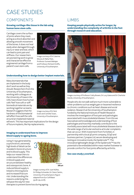# CASE STUDIES

# **COMPONENTS**

#### **Growing cartilage-like tissue in the lab using human bone stem cells.**

Cartilage covers the surface of joints where they meet, acting as a shock absorber and allowing smooth movement of the bones. It does not heal easily when damaged through injury or wear and tear, which can lead to joint pain and stiffness. Our researchers are pioneering work to grow and characterise effective engineered cartilage from a patient's own stem cells.



Image courtesy of Dr Catarina Moura, Dr Rahul Tare, Professor Sumeet Mahajan and Professor Richard Oreffo, University of Southampton.

#### **Understanding how to design better implant materials.**

Many biomaterials that are implanted in the body don't work as well as they should. Researchers from the University of Southampton, working with colleagues at the University of Iowa in the USA, have shown how human cells 'feel' how soft or stiff biomedical materials are by working together as teams. Research suggests that the hardness of the biomaterial will affect how well the cells around an implanted material



Image courtesy of Dr Nick Evans and Camelia Tusan, University of Southampton.

will work. This has important implications for the design of future implants, like hip replacements.

#### **Imaging to understand how to improve blood supply to ageing bone.**

Using X-rays generated by a synchrotron, extremely high levels of detail can be revealed in bone structure and its blood supply. This helps our researchers to understand the differences in blood supply and structure between healthy and osteoporotic bone. A reduced blood supply is linked to thinning bone and increased fracture risk. Understanding the reasons underlying this will pave the way for new



 $100 \, \mathrm{nm}$ 

Image courtesy of Dr Juan Núñez, Dr Philipp Schneider, Dr Claire Clarkin, University of Southampton (Figure adapted from Eur Cell Mater 35:281-99, 2018).

therapies to prevent bone loss during ageing.

### **LIMBS**

**Keeping people physically active for longer, by understanding the complexity of arthritis in the feet through research and education.**



Images courtesy of Professor Cathy Bowen, Dr Lucy Gates and Dr Charlotte Dando, University of Southampton.

People who do not walk well are much more vulnerable to other problems such as weight gain or lessened resilience to chronic conditions such as heart disease and social isolation. Research at the University of Southampton funded by the National Institute of Health Research involves the investigation of foot pain and pathologies associated with musculoskeletal disease. From this we have advanced knowledge and understanding of foot pathologies and how they markedly contribute to the morbidity associated with musculoskeletal diseases due to the wide range of articular and extra-articular complaints that can occur. With investment from FortisNet, in partnership with a local 3D print company, SO3D and business partner, Cynapse Ltd, we are developing and testing an innovative insole, the Spidersole™. The innovative lightweight design of the Spidersole™ has the potential to be embedded within mass market footwear to provide comfort for foot joints affected by arthritis.

#### **See case study 5 overleaf.**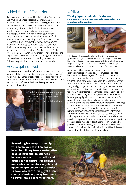# Added Value of FortisNet

Since 2016, we have invested funds from the Engineering and Physical Sciences Research Council, Wessex Academic Health Science Network, the Higher Education Innovation Fund and the University of Southampton in 40 new projects and 11 studentships in musculoskeletal health, involving 15 university collaborations, 35 business partnerships, 11 healthcare organisations and 5 stakeholders. To date there has been a 20-fold return on investment, yielding over £3,000,000 in new research funding. FortisNet has helped development of two new technologies towards patent application, the formation of 2 spin-out companies, and numerous business-business interactions. Our Patient and Public Involvement in Research representatives have provided the inspiration and stimulus for new technology development and have been instrumental in shaping a successful Fellowship application for an early career researcher.

## How to get involved

We welcome new members. If you are a researcher, clinician, member of the public, charity, donor, policy maker or work in industry; if you share our collegiate, interdisciplinary vision and want to help shape the future of musculoskeletal research, please contact **IfLSAdmin@southampton.ac.uk** for more information.



### LIMBS

**Working in partnership with clinicians and communities to improve access to prosthetics and orthotics in Cambodia.**



Robust prosthetics are available for harsh environments, such as agricultural work (left). Residual limb tissues go through considerable biomechanical adaptation in response to prosthetic limb loading (right). Images courtesy of Dr Alex Dickinson, Dr Peter Worsley, Dr Maggie Donovan-Hall and Dr Cheryl Metcalf, University of Southampton.

About 100 million people worldwide need prosthetics (artificial limbs) or orthotic devices (braces and splints), but an estimated 80% to 90% of those do not have access to prosthetic and orthotic services. The higher incidence of traumatic amputations in lower and middle income countries (caused by accidents, conflict and landmines) means patients are typically younger, with more physically active years ahead of them, than users in more economically developed countries, for whom most prosthetics technology has been developed. A large interdisciplinary team led by University of Southampton is investigating digital measurement tools to assess a user's residual limb anatomy, biomechanics of gait, typical daily prosthetic limb use, and health status. They are also developing a portable digital case note system delivered through a robust and secure IT network for travelling prosthetists to visit remote communities where people cannot afford to travel for healthcare. Key to the project is a user-led model of work with our partners in Cambodia as co-researchers, where the prosthetists, physiotherapists, community workers and patients themselves are involved in directing the technical work. The project is funded by the Engineering and Physical Sciences Research Council and the National Institute of Health Research through the Global Challenges Research Fund.

**By working in close partnership with communities in Cambodia, interdisciplinary teams are together developing digital solutions to improve access to prosthetics and orthotics healthcare. People living in remote communities may depend upon their prosthetics or orthotics to be able to earn a living, yet often cannot afford time away from work to travel into cities for treatment.**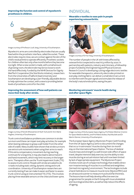#### **Improving the function and control of myoelectric prostheses in children.**



Image courtesy of Professor Liudi Jiang, University of Southampton.

Myoelectric arms are controlled by electrodes that are usually fixed within the prosthetic interface, called the socket. These electrodes require close, secure contact against the skin of the child's residual limb to operate efficiently. Prosthetic sockets for children often last only a few months before they become too tight. When a new socket is made, with a small amount of growing room, the electrode may be too loose to work the hand effectively. Funded by the NIHR Devices for Dignity MedTech Cooperative (the StarWorks initiative), researchers from the Universities of Salford (lead University) and Southampton are developing a user-friendly, adjustable device to help optimise the contact, with a view to providing better levels of prosthesis control for the child.

#### **Improving the assessment of how well patients can move their body after stroke.**



Image courtesy of Norah Alhwoaimel, Dr Ruth Turk and Dr Ann-Marie Hughes, University of Southampton.

Trunk control and balance problems are common in stroke survivors and these can impair everyday activities, for example when leaning sideways to grasp a salt holder from the other side of a table. Many studies have shown that stroke survivors use extra trunk movements when using their arms to reach. If this extra compensatory movement during reaching continues for a long time, it may also lead to abnormal arm and hand movement, which may limit recovery in the longer term. Therapists often use the Trunk Impairment Scale (TIS) to assess trunk control. People with stroke are asked to do 17 tasks including static sitting, dynamic sitting and trunk coordination. University of Southampton researchers are currently testing if we can make it easier and faster to assess trunk control using an instrumented TIS (iTIS). This involves placing three wearable sensors on the chest and lower spine.

# INDIVIDUAL

**Wearable e-textiles to ease pain in people experiencing osteoarthritis.**



Images courtesy of Dr Kai Yang, University of Southampton.

The number of people in the UK with knees affected by osteoarthritis is expected to reach 6.5 million by 2020. In partnership with patients, industry and clinicians, a Fellowship project funded by the Engineering and Physical Sciences Research Council is developing cutting-edge electronic textiles for wearable therapeutics, where dry electrodes printed on everyday clothing fabric can deliver a small electrical current to interfere with the pain signals and stimulate the release of the body's natural endorphins, easing the pain.

#### **Monitoring astronauts' muscle health during and after space flight.**



Image courtesy of the European Space Agency, Prof Dieter Blottner (Centre for Space Medicine Berlin), and Prof Maria Stokes, Paul Muckelt and Dr Martin Warner, University of Southampton.

The European Space Agency Myotones Project (with funding from the UK Space Agency) aims to document the changes that occur in astronauts' muscles during their six-month stay on the International Space Station. The loss of skeletal muscle mass and strength is a well-known side-effect of space travel, despite intensive daily exercise, but the ability to test muscles during an actual mission had until now been limited by lack of appropriate equipment. The Myotones Project involves novel use of compact technology that enables direct non-invasive testing of muscles in a confined and weightless (termed microgravity) environment. The technologies include a hand-held device to measure muscle tone (MyotonPRO) and an ultrasound scanner to measure muscle and fat thickness. The lessons learnt will help develop effective exercise programmes for people on Earth living with musculoskeletal and neurological disorders, as well as help reduce the effects of ageing.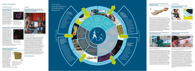

ದ<br>ಇ  $\Xi$ P ote ntial